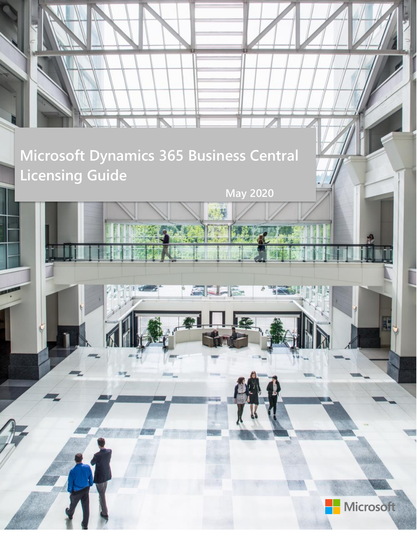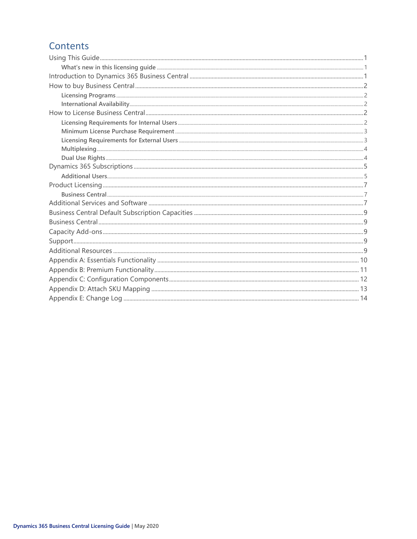### Contents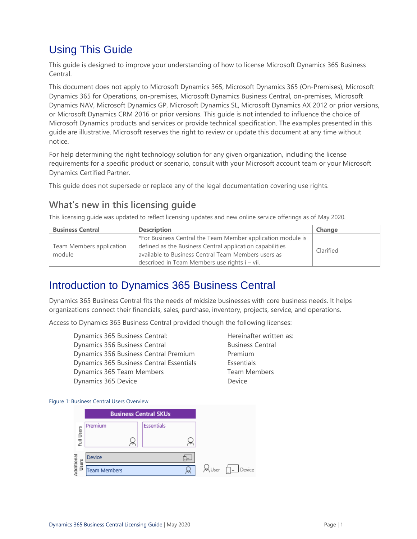# <span id="page-2-0"></span>Using This Guide

This guide is designed to improve your understanding of how to license Microsoft Dynamics 365 Business Central.

This document does not apply to Microsoft Dynamics 365, Microsoft Dynamics 365 (On-Premises), Microsoft Dynamics 365 for Operations, on-premises, Microsoft Dynamics Business Central, on-premises, Microsoft Dynamics NAV, Microsoft Dynamics GP, Microsoft Dynamics SL, Microsoft Dynamics AX 2012 or prior versions, or Microsoft Dynamics CRM 2016 or prior versions. This guide is not intended to influence the choice of Microsoft Dynamics products and services or provide technical specification. The examples presented in this guide are illustrative. Microsoft reserves the right to review or update this document at any time without notice.

For help determining the right technology solution for any given organization, including the license requirements for a specific product or scenario, consult with your Microsoft account team or your Microsoft Dynamics Certified Partner.

This guide does not supersede or replace any of the legal documentation covering use rights.

### <span id="page-2-1"></span>**What's new in this licensing guide**

This licensing guide was updated to reflect licensing updates and new online service offerings as of May 2020.

| <b>Business Central</b>  | <b>Description</b>                                          | Change    |
|--------------------------|-------------------------------------------------------------|-----------|
|                          | *For Business Central the Team Member application module is |           |
| Team Members application | defined as the Business Central application capabilities    | Clarified |
| module                   | available to Business Central Team Members users as         |           |
|                          | described in Team Members use rights i – vii.               |           |

### <span id="page-2-2"></span>Introduction to Dynamics 365 Business Central

Dynamics 365 Business Central fits the needs of midsize businesses with core business needs. It helps organizations connect their financials, sales, purchase, inventory, projects, service, and operations.

Access to Dynamics 365 Business Central provided though the following licenses:

Dynamics 365 Business Central: Hereinafter written as: Dynamics 356 Business Central **Business Central** Business Central Dynamics 356 Business Central Premium Premium Dynamics 365 Business Central Essentials Essentials Dynamics 365 Team Members Team Members Dynamics 365 Device **Device** Device

#### Figure 1: Business Central Users Overview

|                    |                     | <b>Business Central SKUs</b> |       |        |
|--------------------|---------------------|------------------------------|-------|--------|
|                    | Premium             | Essentials                   |       |        |
| Full Users         |                     |                              |       |        |
| dditional<br>Users | Device              |                              |       |        |
|                    | <b>Team Members</b> |                              | ₩User | Device |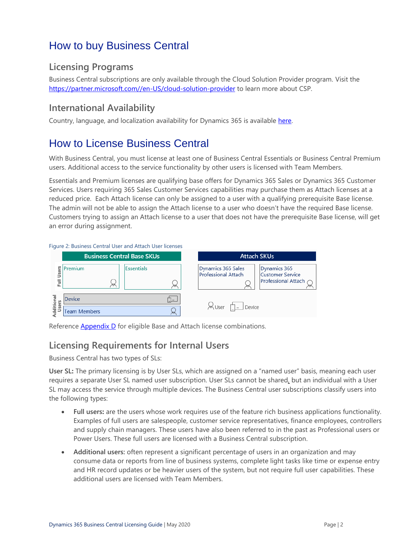# <span id="page-3-0"></span>How to buy Business Central

### <span id="page-3-1"></span>**Licensing Programs**

Business Central subscriptions are only available through the Cloud Solution Provider program. Visit the [https://partner.microsoft.com//en-US/cloud-solution-provider](https://partner.microsoft.com/en-US/cloud-solution-provider) to learn more about CSP.

### <span id="page-3-2"></span>**International Availability**

Country, language, and localization availability for Dynamics 365 is available [here.](https://docs.microsoft.com/dynamics365/business-central/dev-itpro/compliance/apptest-countries-and-translations#planned-future-availability)

## <span id="page-3-3"></span>How to License Business Central

With Business Central, you must license at least one of Business Central Essentials or Business Central Premium users. Additional access to the service functionality by other users is licensed with Team Members.

Essentials and Premium licenses are qualifying base offers for Dynamics 365 Sales or Dynamics 365 Customer Services. Users requiring 365 Sales Customer Services capabilities may purchase them as Attach licenses at a reduced price. Each Attach license can only be assigned to a user with a qualifying prerequisite Base license. The admin will not be able to assign the Attach license to a user who doesn't have the required Base license. Customers trying to assign an Attach license to a user that does not have the prerequisite Base license, will get an error during assignment.

#### Figure 2: Business Central User and Attach User licenses **Business Central Base SKUs Attach SKUs** Full Users Premium Essentials Dynamics 365 Sales Dynamics 365 **Professional Attach Customer Service** Professional Attach  $\approx$ dditional Device Ŀ Users & User  $\Box$  Device Q **Team Members**

<span id="page-3-4"></span>Reference [Appendix D](#page-14-0) for eligible Base and Attach license combinations.

### **Licensing Requirements for Internal Users**

Business Central has two types of SLs:

**User SL:** The primary licensing is by User SLs, which are assigned on a "named user" basis, meaning each user requires a separate User SL named user subscription. User SLs cannot be shared, but an individual with a User SL may access the service through multiple devices. The Business Central user subscriptions classify users into the following types:

- **Full users:** are the users whose work requires use of the feature rich business applications functionality. Examples of full users are salespeople, customer service representatives, finance employees, controllers and supply chain managers. These users have also been referred to in the past as Professional users or Power Users. These full users are licensed with a Business Central subscription.
- **Additional users:** often represent a significant percentage of users in an organization and may consume data or reports from line of business systems, complete light tasks like time or expense entry and HR record updates or be heavier users of the system, but not require full user capabilities. These additional users are licensed with Team Members.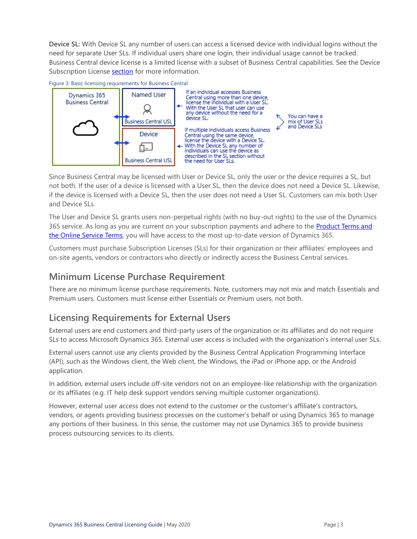**Device SL:** With Device SL any number of users can access a licensed device with individual logins without the need for separate User SLs. If individual users share one login, their individual usage cannot be tracked. Business Central device license is a limited license with a subset of Business Central capabilities. See the Device Subscription License [section](#page-7-0) for more information.



Since Business Central may be licensed with User or Device SL, only the user or the device requires a SL, but not both. If the user of a device is licensed with a User SL, then the device does not need a Device SL. Likewise, if the device is licensed with a Device SL, then the user does not need a User SL. Customers can mix both User and Device SLs.

The User and Device SL grants users non-perpetual rights (with no buy-out rights) to the use of the Dynamics 365 service. As long as you are current on your subscription payments and adhere to the Product Terms and [the Online Service Terms](https://www.microsoft.com/en-us/Licensing/product-licensing/products.aspx), you will have access to the most up-to-date version of Dynamics 365.

Customers must purchase Subscription Licenses (SLs) for their organization or their affiliates' employees and on-site agents, vendors or contractors who directly or indirectly access the Business Central services.

### <span id="page-4-0"></span>**Minimum License Purchase Requirement**

There are no minimum license purchase requirements. Note, customers may not mix and match Essentials and Premium users. Customers must license either Essentials or Premium users, not both.

### <span id="page-4-1"></span>**Licensing Requirements for External Users**

External users are end customers and third-party users of the organization or its affiliates and do not require SLs to access Microsoft Dynamics 365. External user access is included with the organization's internal user SLs.

External users cannot use any clients provided by the Business Central Application Programming Interface (API), such as the Windows client, the Web client, the Windows, the iPad or iPhone app, or the Android application.

In addition, external users include off-site vendors not on an employee-like relationship with the organization or its affiliates (e.g. IT help desk support vendors serving multiple customer organizations).

However, external user access does not extend to the customer or the customer's affiliate's contractors, vendors, or agents providing business processes on the customer's behalf or using Dynamics 365 to manage any portions of their business. In this sense, the customer may not use Dynamics 365 to provide business process outsourcing services to its clients.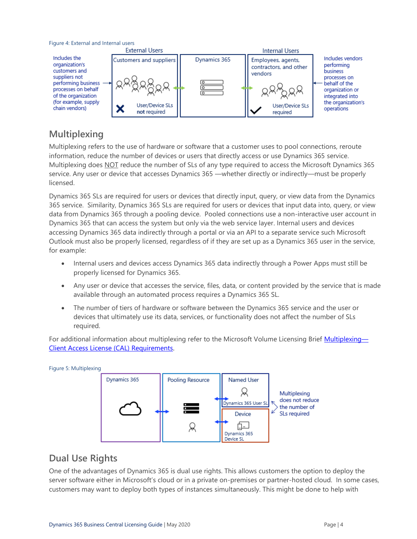

### <span id="page-5-0"></span>**Multiplexing**

Multiplexing refers to the use of hardware or software that a customer uses to pool connections, reroute information, reduce the number of devices or users that directly access or use Dynamics 365 service. Multiplexing does NOT reduce the number of SLs of any type required to access the Microsoft Dynamics 365 service. Any user or device that accesses Dynamics 365 —whether directly or indirectly—must be properly licensed.

Dynamics 365 SLs are required for users or devices that directly input, query, or view data from the Dynamics 365 service. Similarity, Dynamics 365 SLs are required for users or devices that input data into, query, or view data from Dynamics 365 through a pooling device. Pooled connections use a non-interactive user account in Dynamics 365 that can access the system but only via the web service layer. Internal users and devices accessing Dynamics 365 data indirectly through a portal or via an API to a separate service such Microsoft Outlook must also be properly licensed, regardless of if they are set up as a Dynamics 365 user in the service, for example:

- Internal users and devices access Dynamics 365 data indirectly through a Power Apps must still be properly licensed for Dynamics 365.
- Any user or device that accesses the service, files, data, or content provided by the service that is made available through an automated process requires a Dynamics 365 SL.
- The number of tiers of hardware or software between the Dynamics 365 service and the user or devices that ultimately use its data, services, or functionality does not affect the number of SLs required.

For additional information about multiplexing refer to the Microsoft Volume Licensing Brief [Multiplexing](http://download.microsoft.com/download/8/7/3/8733d036-92b0-4cb8-8912-3b6ab966b8b2/multiplexing.pdf)— [Client Access License \(CAL\) Requirements.](http://download.microsoft.com/download/8/7/3/8733d036-92b0-4cb8-8912-3b6ab966b8b2/multiplexing.pdf)



### <span id="page-5-1"></span>**Dual Use Rights**

One of the advantages of Dynamics 365 is dual use rights. This allows customers the option to deploy the server software either in Microsoft's cloud or in a private on-premises or partner-hosted cloud. In some cases, customers may want to deploy both types of instances simultaneously. This might be done to help with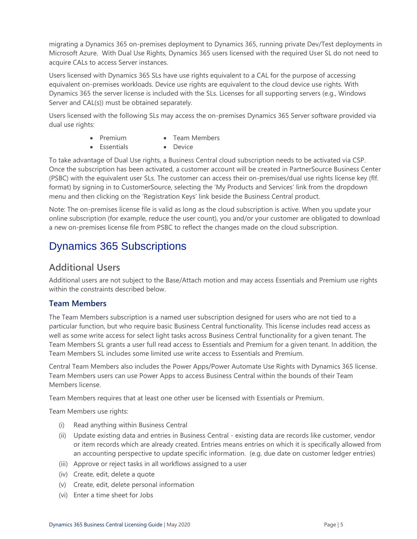migrating a Dynamics 365 on-premises deployment to Dynamics 365, running private Dev/Test deployments in Microsoft Azure. With Dual Use Rights, Dynamics 365 users licensed with the required User SL do not need to acquire CALs to access Server instances.

Users licensed with Dynamics 365 SLs have use rights equivalent to a CAL for the purpose of accessing equivalent on-premises workloads. Device use rights are equivalent to the cloud device use rights. With Dynamics 365 the server license is included with the SLs. Licenses for all supporting servers (e.g., Windows Server and CAL(s)) must be obtained separately.

Users licensed with the following SLs may access the on-premises Dynamics 365 Server software provided via dual use rights:

- Premium Team Members
- Essentials Device

To take advantage of Dual Use rights, a Business Central cloud subscription needs to be activated via CSP. Once the subscription has been activated, a customer account will be created in PartnerSource Business Center (PSBC) with the equivalent user SLs. The customer can access their on-premises/dual use rights license key (flf. format) by signing in to CustomerSource, selecting the 'My Products and Services' link from the dropdown menu and then clicking on the 'Registration Keys' link beside the Business Central product.

Note: The on-premises license file is valid as long as the cloud subscription is active. When you update your online subscription (for example, reduce the user count), you and/or your customer are obligated to download a new on-premises license file from PSBC to reflect the changes made on the cloud subscription.

## <span id="page-6-0"></span>Dynamics 365 Subscriptions

### <span id="page-6-1"></span>**Additional Users**

Additional users are not subject to the Base/Attach motion and may access Essentials and Premium use rights within the constraints described below.

#### **Team Members**

The Team Members subscription is a named user subscription designed for users who are not tied to a particular function, but who require basic Business Central functionality. This license includes read access as well as some write access for select light tasks across Business Central functionality for a given tenant. The Team Members SL grants a user full read access to Essentials and Premium for a given tenant. In addition, the Team Members SL includes some limited use write access to Essentials and Premium.

Central Team Members also includes the Power Apps/Power Automate Use Rights with Dynamics 365 license. Team Members users can use Power Apps to access Business Central within the bounds of their Team Members license.

Team Members requires that at least one other user be licensed with Essentials or Premium.

Team Members use rights:

- (i) Read anything within Business Central
- (ii) Update existing data and entries in Business Central existing data are records like customer, vendor or item records which are already created. Entries means entries on which it is specifically allowed from an accounting perspective to update specific information. (e.g. due date on customer ledger entries)
- (iii) Approve or reject tasks in all workflows assigned to a user
- (iv) Create, edit, delete a quote
- (v) Create, edit, delete personal information
- (vi) Enter a time sheet for Jobs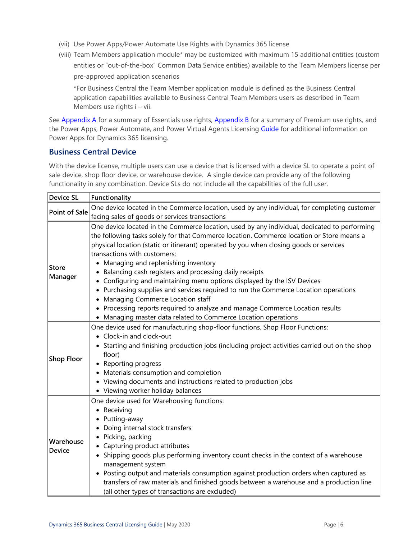- (vii) Use Power Apps/Power Automate Use Rights with Dynamics 365 license
- (viii) Team Members application module\* may be customized with maximum 15 additional entities (custom entities or "out-of-the-box" Common Data Service entities) available to the Team Members license per pre-approved application scenarios

\*For Business Central the Team Member application module is defined as the Business Central application capabilities available to Business Central Team Members users as described in Team Members use rights i – vii.

See [Appendix A](#page-10-5) for a summary of Essentials use rights, [Appendix B](#page-12-0) for a summary of Premium use rights, and the Power Apps, Power Automate, and Power Virtual Agents Licensing [Guide](https://go.microsoft.com/fwlink/?LinkId=2085130&clcid=0x409) for additional information on Power Apps for Dynamics 365 licensing.

### <span id="page-7-0"></span>**Business Central Device**

With the device license, multiple users can use a device that is licensed with a device SL to operate a point of sale device, shop floor device, or warehouse device. A single device can provide any of the following functionality in any combination. Device SLs do not include all the capabilities of the full user.

| <b>Device SL</b>     | Functionality                                                                                                                                                                             |  |  |  |  |
|----------------------|-------------------------------------------------------------------------------------------------------------------------------------------------------------------------------------------|--|--|--|--|
| <b>Point of Sale</b> | One device located in the Commerce location, used by any individual, for completing customer                                                                                              |  |  |  |  |
|                      | facing sales of goods or services transactions                                                                                                                                            |  |  |  |  |
|                      | One device located in the Commerce location, used by any individual, dedicated to performing<br>the following tasks solely for that Commerce location. Commerce location or Store means a |  |  |  |  |
|                      | physical location (static or itinerant) operated by you when closing goods or services                                                                                                    |  |  |  |  |
|                      | transactions with customers:                                                                                                                                                              |  |  |  |  |
| Store                | • Managing and replenishing inventory                                                                                                                                                     |  |  |  |  |
| Manager              | • Balancing cash registers and processing daily receipts                                                                                                                                  |  |  |  |  |
|                      | • Configuring and maintaining menu options displayed by the ISV Devices                                                                                                                   |  |  |  |  |
|                      | • Purchasing supplies and services required to run the Commerce Location operations<br>• Managing Commerce Location staff                                                                 |  |  |  |  |
|                      | • Processing reports required to analyze and manage Commerce Location results                                                                                                             |  |  |  |  |
|                      | • Managing master data related to Commerce Location operations                                                                                                                            |  |  |  |  |
|                      | One device used for manufacturing shop-floor functions. Shop Floor Functions:                                                                                                             |  |  |  |  |
|                      | • Clock-in and clock-out                                                                                                                                                                  |  |  |  |  |
|                      | • Starting and finishing production jobs (including project activities carried out on the shop                                                                                            |  |  |  |  |
|                      | floor)                                                                                                                                                                                    |  |  |  |  |
| <b>Shop Floor</b>    | • Reporting progress                                                                                                                                                                      |  |  |  |  |
|                      | • Materials consumption and completion                                                                                                                                                    |  |  |  |  |
|                      | • Viewing documents and instructions related to production jobs                                                                                                                           |  |  |  |  |
|                      | • Viewing worker holiday balances                                                                                                                                                         |  |  |  |  |
|                      | One device used for Warehousing functions:                                                                                                                                                |  |  |  |  |
|                      | • Receiving                                                                                                                                                                               |  |  |  |  |
|                      | • Putting-away                                                                                                                                                                            |  |  |  |  |
|                      | Doing internal stock transfers                                                                                                                                                            |  |  |  |  |
|                      | • Picking, packing                                                                                                                                                                        |  |  |  |  |
| Warehouse            | • Capturing product attributes                                                                                                                                                            |  |  |  |  |
| <b>Device</b>        | • Shipping goods plus performing inventory count checks in the context of a warehouse                                                                                                     |  |  |  |  |
|                      | management system                                                                                                                                                                         |  |  |  |  |
|                      | • Posting output and materials consumption against production orders when captured as                                                                                                     |  |  |  |  |
|                      | transfers of raw materials and finished goods between a warehouse and a production line                                                                                                   |  |  |  |  |
|                      | (all other types of transactions are excluded)                                                                                                                                            |  |  |  |  |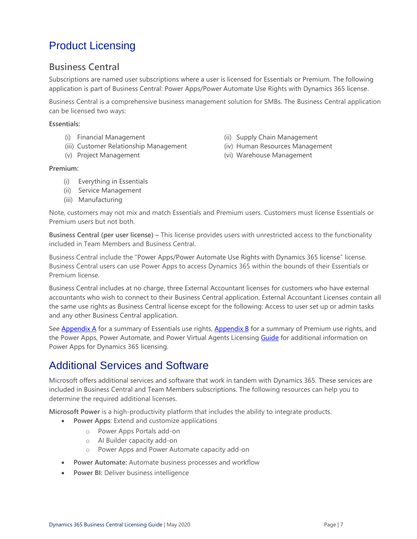# <span id="page-8-0"></span>Product Licensing

### <span id="page-8-1"></span>**Business Central**

Subscriptions are named user subscriptions where a user is licensed for Essentials or Premium. The following application is part of Business Central: Power Apps/Power Automate Use Rights with Dynamics 365 license.

Business Central is a comprehensive business management solution for SMBs. The Business Central application can be licensed two ways:

#### **Essentials:**

- 
- (iii) Customer Relationship Management (iv) Human Resources Management
- 
- (i) Financial Management (ii) Supply Chain Management
	-
- (v) Project Management (vi) Warehouse Management

#### **Premium:**

- (i) Everything in Essentials
- (ii) Service Management
- (iii) Manufacturing

Note, customers may not mix and match Essentials and Premium users. Customers must license Essentials or Premium users but not both.

**Business Central (per user license) –** This license provides users with unrestricted access to the functionality included in Team Members and Business Central.

Business Central include the "Power Apps/Power Automate Use Rights with Dynamics 365 license" license. Business Central users can use Power Apps to access Dynamics 365 within the bounds of their Essentials or Premium license.

Business Central includes at no charge, three External Accountant licenses for customers who have external accountants who wish to connect to their Business Central application. External Accountant Licenses contain all the same use rights as Business Central license except for the following: Access to user set up or admin tasks and any other Business Central application.

See [Appendix A](#page-10-5) for a summary of Essentials use rights, [Appendix B](#page-12-0) for a summary of Premium use rights, and the Power Apps, Power Automate, and Power Virtual Agents Licensing [Guide](https://go.microsoft.com/fwlink/?LinkId=2085130&clcid=0x409) for additional information on Power Apps for Dynamics 365 licensing.

### <span id="page-8-2"></span>Additional Services and Software

Microsoft offers additional services and software that work in tandem with Dynamics 365. These services are included in Business Central and Team Members subscriptions. The following resources can help you to determine the required additional licenses.

**Microsoft Power** is a high-productivity platform that includes the ability to integrate products.

- **Power Apps**: Extend and customize applications
	- o Power Apps Portals add-on
	- o AI Builder capacity add-on
	- o Power Apps and Power Automate capacity add-on
- **Power Automate:** Automate business processes and workflow
- **Power BI: Deliver business intelligence**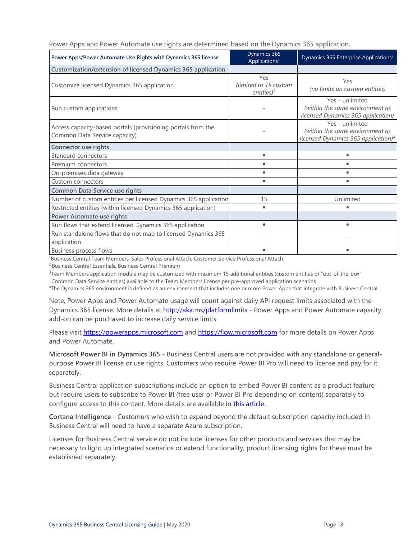|  |  |  |  |  | Power Apps and Power Automate use rights are determined based on the Dynamics 365 application. |
|--|--|--|--|--|------------------------------------------------------------------------------------------------|
|  |  |  |  |  |                                                                                                |
|  |  |  |  |  |                                                                                                |
|  |  |  |  |  |                                                                                                |

| Power Apps/Power Automate Use Rights with Dynamics 365 license                                | Dynamics 365<br>Applications <sup>1</sup>     | Dynamics 365 Enterprise Applications <sup>2</sup>                                                     |
|-----------------------------------------------------------------------------------------------|-----------------------------------------------|-------------------------------------------------------------------------------------------------------|
| Customization/extension of licensed Dynamics 365 application                                  |                                               |                                                                                                       |
| Customize licensed Dynamics 365 application                                                   | Yes<br>(limited to 15 custom<br>entities) $3$ | Yes<br>(no limits on custom entities)                                                                 |
| Run custom applications                                                                       |                                               | Yes - unlimited<br>(within the same environment as<br>licensed Dynamics 365 application)              |
| Access capacity-based portals (provisioning portals from the<br>Common Data Service capacity) |                                               | Yes - unlimited<br>(within the same environment as<br>licensed Dynamics 365 application) <sup>4</sup> |
| Connector use rights                                                                          |                                               |                                                                                                       |
| Standard connectors                                                                           | ٠                                             |                                                                                                       |
| Premium connectors                                                                            |                                               |                                                                                                       |
| On-premises data gateway                                                                      | $\bullet$                                     | ٠                                                                                                     |
| Custom connectors                                                                             | $\bullet$                                     |                                                                                                       |
| Common Data Service use rights                                                                |                                               |                                                                                                       |
| Number of custom entities per licensed Dynamics 365 application                               | 15                                            | Unlimited                                                                                             |
| Restricted entities (within licensed Dynamics 365 application)                                | ٠                                             |                                                                                                       |
| Power Automate use rights                                                                     |                                               |                                                                                                       |
| Run flows that extend licensed Dynamics 365 application                                       | $\bullet$                                     | ٠                                                                                                     |
| Run standalone flows that do not map to licensed Dynamics 365<br>application                  |                                               |                                                                                                       |
| <b>Business process flows</b>                                                                 |                                               |                                                                                                       |

<sup>1</sup>Business Central Team Members, Sales Professional Attach, Customer Service Professional Attach

<sup>2</sup> Business Central Essentials, Business Central Premium

 $3$ Team Members application module may be customized with maximum 15 additional entities (custom entities or "out-of-the-box"

Common Data Service entities) available to the Team Members license per pre-approved application scenarios

*<sup>4</sup>*The Dynamics 365 environment is defined as an environment that includes one or more Power Apps that integrate with Business Central

Note, Power Apps and Power Automate usage will count against daily API request limits associated with the Dynamics 365 license. More details at <http://aka.ms/platformlimits> - Power Apps and Power Automate capacity add-on can be purchased to increase daily service limits.

Please visit [https://powerapps.microsoft.com](https://powerapps.microsoft.com/) and [https://flow.microsoft.com](https://flow.microsoft.com/) for more details on Power Apps and Power Automate.

**Microsoft Power BI in Dynamics 365** - Business Central users are not provided with any standalone or generalpurpose Power BI license or use rights. Customers who require Power BI Pro will need to license and pay for it separately.

Business Central application subscriptions include an option to embed Power BI content as a product feature but require users to subscribe to Power BI (free user or Power BI Pro depending on content) separately to configure access to this content. More details are available in [this article.](https://technet.microsoft.com/en-us/library/dn708055.aspx)

**Cortana Intelligence** - Customers who wish to expand beyond the default subscription capacity included in Business Central will need to have a separate Azure subscription.

Licenses for Business Central service do not include licenses for other products and services that may be necessary to light up integrated scenarios or extend functionality; product licensing rights for these must be established separately.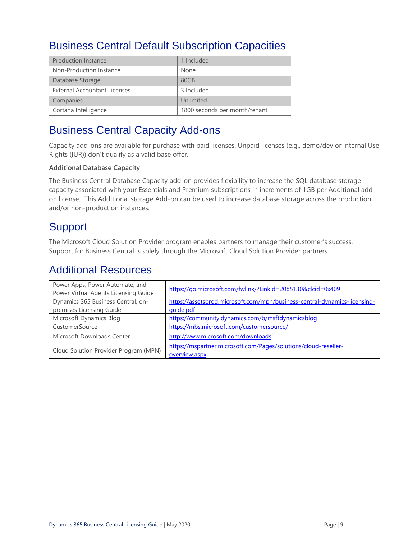## <span id="page-10-0"></span>Business Central Default Subscription Capacities

| <b>Production Instance</b>          | 1 Included                    |
|-------------------------------------|-------------------------------|
| Non-Production Instance             | None                          |
| Database Storage                    | 80GB                          |
| <b>External Accountant Licenses</b> | 3 Included                    |
| Companies                           | Unlimited                     |
| Cortana Intelligence                | 1800 seconds per month/tenant |

## <span id="page-10-2"></span><span id="page-10-1"></span>Business Central Capacity Add-ons

Capacity add-ons are available for purchase with paid licenses. Unpaid licenses (e.g., demo/dev or Internal Use Rights (IUR)) don't qualify as a valid base offer.

#### **Additional Database Capacity**

The Business Central Database Capacity add-on provides flexibility to increase the SQL database storage capacity associated with your Essentials and Premium subscriptions in increments of 1GB per Additional addon license. This Additional storage Add-on can be used to increase database storage across the production and/or non-production instances.

### <span id="page-10-3"></span>**Support**

The Microsoft Cloud Solution Provider program enables partners to manage their customer's success. Support for Business Central is solely through the Microsoft Cloud Solution Provider partners.

### <span id="page-10-4"></span>Additional Resources

<span id="page-10-5"></span>

| Power Apps, Power Automate, and<br>Power Virtual Agents Licensing Guide | https://go.microsoft.com/fwlink/?LinkId=2085130&clcid=0x409               |
|-------------------------------------------------------------------------|---------------------------------------------------------------------------|
| Dynamics 365 Business Central, on-                                      | https://assetsprod.microsoft.com/mpn/business-central-dynamics-licensing- |
| premises Licensing Guide                                                | guide.pdf                                                                 |
| Microsoft Dynamics Blog                                                 | https://community.dynamics.com/b/msftdynamicsblog                         |
| CustomerSource                                                          | https://mbs.microsoft.com/customersource/                                 |
| Microsoft Downloads Center                                              | http://www.microsoft.com/downloads                                        |
| Cloud Solution Provider Program (MPN)                                   | https://mspartner.microsoft.com/Pages/solutions/cloud-reseller-           |
|                                                                         | overview.aspx                                                             |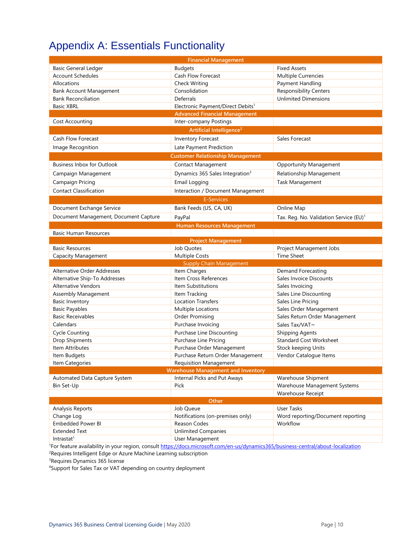# <span id="page-11-0"></span>Appendix A: Essentials Functionality

| <b>Financial Management</b>                                                           |                                               |                                                    |  |  |  |
|---------------------------------------------------------------------------------------|-----------------------------------------------|----------------------------------------------------|--|--|--|
| <b>Basic General Ledger</b>                                                           | <b>Budgets</b>                                | <b>Fixed Assets</b>                                |  |  |  |
| <b>Account Schedules</b>                                                              | Cash Flow Forecast                            | Multiple Currencies                                |  |  |  |
| Allocations                                                                           | <b>Check Writing</b>                          | Payment Handling                                   |  |  |  |
| <b>Bank Account Management</b>                                                        | Consolidation                                 | <b>Responsibility Centers</b>                      |  |  |  |
| <b>Bank Reconciliation</b>                                                            | Deferrals                                     | <b>Unlimited Dimensions</b>                        |  |  |  |
| <b>Basic XBRL</b>                                                                     | Electronic Payment/Direct Debits <sup>1</sup> |                                                    |  |  |  |
|                                                                                       | <b>Advanced Financial Management</b>          |                                                    |  |  |  |
| Cost Accounting                                                                       | Inter-company Postings                        |                                                    |  |  |  |
|                                                                                       | Artificial Intelligence <sup>2</sup>          |                                                    |  |  |  |
| <b>Cash Flow Forecast</b>                                                             | Inventory Forecast                            | Sales Forecast                                     |  |  |  |
| Image Recognition                                                                     | Late Payment Prediction                       |                                                    |  |  |  |
|                                                                                       | <b>Customer Relationship Management</b>       |                                                    |  |  |  |
| <b>Business Inbox for Outlook</b>                                                     | <b>Contact Management</b>                     | <b>Opportunity Management</b>                      |  |  |  |
| Campaign Management                                                                   | Dynamics 365 Sales Integration <sup>3</sup>   | Relationship Management                            |  |  |  |
| Campaign Pricing                                                                      | Email Logging                                 | Task Management                                    |  |  |  |
| <b>Contact Classification</b>                                                         | Interaction / Document Management             |                                                    |  |  |  |
|                                                                                       | <b>E-Services</b>                             |                                                    |  |  |  |
| Document Exchange Service                                                             | Bank Feeds (US, CA, UK)                       | Online Map                                         |  |  |  |
|                                                                                       |                                               |                                                    |  |  |  |
| Document Management, Document Capture                                                 | PayPal                                        | Tax. Reg. No. Validation Service (EU) <sup>1</sup> |  |  |  |
|                                                                                       | <b>Human Resources Management</b>             |                                                    |  |  |  |
| <b>Basic Human Resources</b>                                                          |                                               |                                                    |  |  |  |
| <b>Basic Resources</b>                                                                | <b>Project Management</b><br>Job Quotes       | Project Management Jobs                            |  |  |  |
|                                                                                       |                                               | <b>Time Sheet</b>                                  |  |  |  |
| <b>Capacity Management</b><br><b>Multiple Costs</b><br><b>Supply Chain Management</b> |                                               |                                                    |  |  |  |
| <b>Alternative Order Addresses</b>                                                    | Item Charges                                  | Demand Forecasting                                 |  |  |  |
| Alternative Ship-To Addresses                                                         | Item Cross References                         | Sales Invoice Discounts                            |  |  |  |
| <b>Alternative Vendors</b>                                                            | Item Substitutions                            | Sales Invoicing                                    |  |  |  |
| Assembly Management                                                                   | Item Tracking                                 | Sales Line Discounting                             |  |  |  |
| <b>Basic Inventory</b>                                                                | <b>Location Transfers</b>                     | Sales Line Pricing                                 |  |  |  |
| <b>Basic Payables</b>                                                                 | Multiple Locations                            | Sales Order Management                             |  |  |  |
| <b>Basic Receivables</b>                                                              | <b>Order Promising</b>                        | Sales Return Order Management                      |  |  |  |
| Calendars                                                                             | Purchase Invoicing                            | Sales Tax/VAT~                                     |  |  |  |
| <b>Cycle Counting</b>                                                                 | <b>Purchase Line Discounting</b>              | <b>Shipping Agents</b>                             |  |  |  |
| Drop Shipments                                                                        | Purchase Line Pricing                         | <b>Standard Cost Worksheet</b>                     |  |  |  |
| Item Attributes                                                                       | Purchase Order Management                     | Stock keeping Units                                |  |  |  |
| Item Budgets                                                                          | Purchase Return Order Management              | Vendor Catalogue Items                             |  |  |  |
| Item Categories                                                                       | <b>Requisition Management</b>                 |                                                    |  |  |  |
| <b>Warehouse Management and Inventory</b>                                             |                                               |                                                    |  |  |  |
| Automated Data Capture System                                                         | Internal Picks and Put Aways                  | Warehouse Shipment                                 |  |  |  |
| Bin Set-Up                                                                            | Pick                                          | Warehouse Management Systems                       |  |  |  |
|                                                                                       |                                               | Warehouse Receipt                                  |  |  |  |
|                                                                                       | Other                                         |                                                    |  |  |  |
| Analysis Reports                                                                      | Job Queue                                     | User Tasks                                         |  |  |  |
| Change Log                                                                            | Notifications (on-premises only)              | Word reporting/Document reporting                  |  |  |  |
| <b>Embedded Power BI</b>                                                              | Reason Codes                                  | Workflow                                           |  |  |  |
| <b>Extended Text</b>                                                                  | <b>Unlimited Companies</b>                    |                                                    |  |  |  |
| Intrastat <sup>1</sup>                                                                | User Management                               |                                                    |  |  |  |

<sup>1</sup>For feature availability in your region, consult [https://docs.microsoft.com/en-us/dynamics365/business-central/about-localization](https://nam06.safelinks.protection.outlook.com/?url=https%3A%2F%2Fdocs.microsoft.com%2Fen-us%2Fdynamics365%2Fbusiness-central%2Fabout-localization&data=02%7C01%7Cv-decaro%40microsoft.com%7Cd2aa8d6cb0e34d67535808d78553b2bd%7C72f988bf86f141af91ab2d7cd011db47%7C1%7C0%7C637124466836550525&sdata=Tm0JOsRi7vEuRnTf7u89WTXntgayOX7Iagr7mtzBHnA%3D&reserved=0)

<sup>2</sup>Requires Intelligent Edge or Azure Machine Learning subscription

<sup>3</sup>Requires Dynamics 365 license

4Support for Sales Tax or VAT depending on country deployment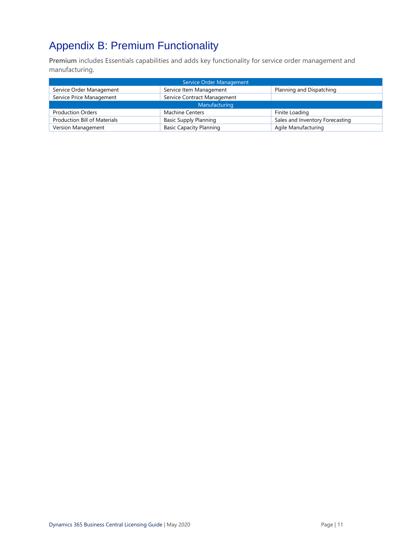# <span id="page-12-0"></span>Appendix B: Premium Functionality

**Premium** includes Essentials capabilities and adds key functionality for service order management and manufacturing.

| Service Order Management     |                                |                                 |  |  |
|------------------------------|--------------------------------|---------------------------------|--|--|
| Service Order Management     | Service Item Management        | Planning and Dispatching        |  |  |
| Service Price Management     | Service Contract Management    |                                 |  |  |
| Manufacturing                |                                |                                 |  |  |
| <b>Production Orders</b>     | <b>Machine Centers</b>         | Finite Loading                  |  |  |
| Production Bill of Materials | <b>Basic Supply Planning</b>   | Sales and Inventory Forecasting |  |  |
| Version Management           | <b>Basic Capacity Planning</b> | Agile Manufacturing             |  |  |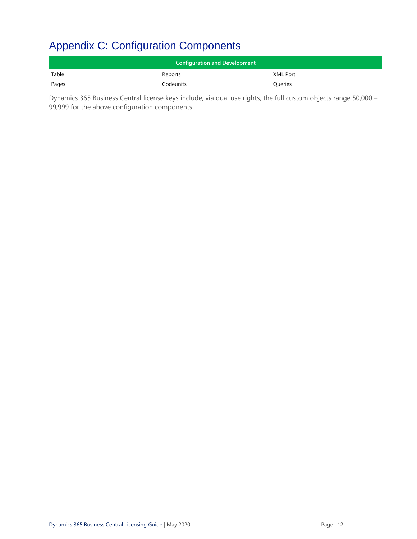# <span id="page-13-0"></span>Appendix C: Configuration Components

| <b>Configuration and Development</b> |           |                      |  |  |
|--------------------------------------|-----------|----------------------|--|--|
| Table                                | Reports   | <b>XML Port</b>      |  |  |
| Pages                                | Codeunits | <sup>'</sup> Queries |  |  |

Dynamics 365 Business Central license keys include, via dual use rights, the full custom objects range 50,000 – 99,999 for the above configuration components.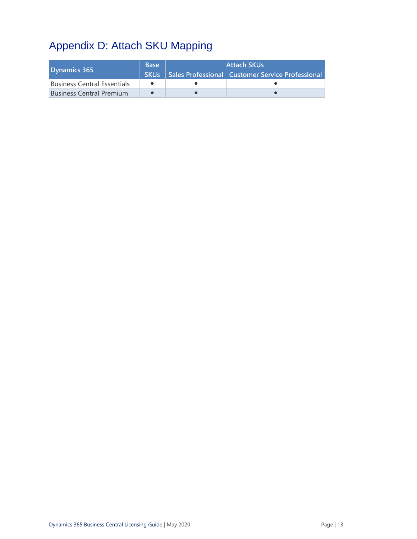# <span id="page-14-0"></span>Appendix D: Attach SKU Mapping

<span id="page-14-1"></span>

| Dynamics 365                    | <b>Base</b><br><b>SKUs</b> | <b>Attach SKUs</b><br>Sales Professional Customer Service Professional |  |  |
|---------------------------------|----------------------------|------------------------------------------------------------------------|--|--|
| Business Central Essentials     |                            |                                                                        |  |  |
| <b>Business Central Premium</b> |                            |                                                                        |  |  |